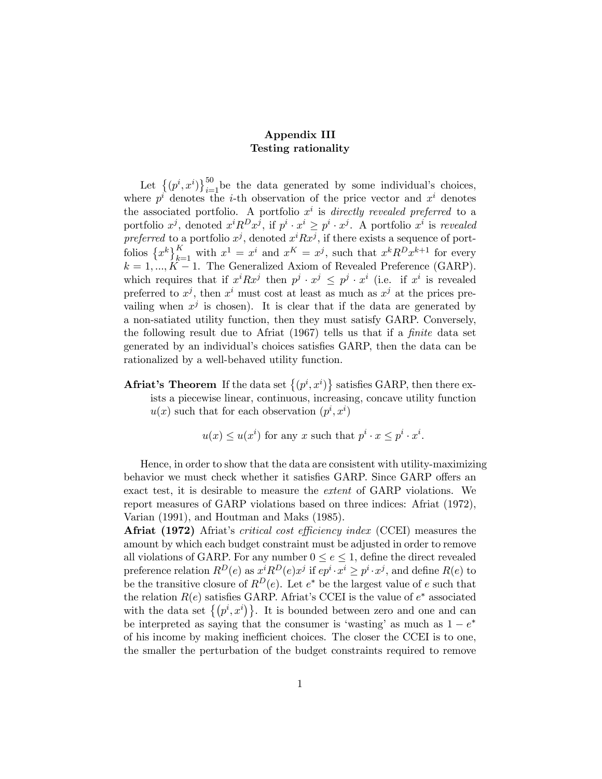## Appendix III Testing rationality

Let  $\{(p^i, x^i)\}_{i=1}^{50}$  be the data generated by some individual's choices, where  $p^i$  denotes the *i*-th observation of the price vector and  $x^i$  denotes the associated portfolio. A portfolio  $x^i$  is directly revealed preferred to a portfolio  $x^j$ , denoted  $x^i R^D x^j$ , if  $p^i \cdot x^i \geq p^i \cdot x^j$ . A portfolio  $x^i$  is revealed preferred to a portfolio  $x^j$ , denoted  $x^iRx^j$ , if there exists a sequence of portfolios  $\{x^k\}_{k=1}^K$  with  $x^1 = x^i$  and  $x^K = x^j$ , such that  $x^k R^D x^{k+1}$  for every  $k = 1, ..., K - 1$ . The Generalized Axiom of Revealed Preference (GARP). which requires that if  $x^{i}Rx^{j}$  then  $p^{j} \cdot x^{j} \leq p^{j} \cdot x^{i}$  (i.e. if  $x^{i}$  is revealed preferred to  $x^j$ , then  $x^i$  must cost at least as much as  $x^j$  at the prices prevailing when  $x^j$  is chosen). It is clear that if the data are generated by a non-satiated utility function, then they must satisfy GARP. Conversely, the following result due to Afriat (1967) tells us that if a finite data set generated by an individual's choices satisfies GARP, then the data can be rationalized by a well-behaved utility function.

**Afriat's Theorem** If the data set  $\{(p^i, x^i)\}$  satisfies GARP, then there exists a piecewise linear, continuous, increasing, concave utility function  $u(x)$  such that for each observation  $(p^i, x^i)$ 

$$
u(x) \leq u(x^i)
$$
 for any x such that  $p^i \cdot x \leq p^i \cdot x^i$ .

Hence, in order to show that the data are consistent with utility-maximizing behavior we must check whether it satisfies GARP. Since GARP offers an exact test, it is desirable to measure the extent of GARP violations. We report measures of GARP violations based on three indices: Afriat (1972), Varian (1991), and Houtman and Maks (1985).

Afriat (1972) Afriat's critical cost efficiency index (CCEI) measures the amount by which each budget constraint must be adjusted in order to remove all violations of GARP. For any number  $0 \le e \le 1$ , define the direct revealed preference relation  $R^D(e)$  as  $x^i R^D(e) x^j$  if  $ep^i \cdot x^i \geq p^i \cdot x^j$ , and define  $R(e)$  to be the transitive closure of  $R^D(e)$ . Let  $e^*$  be the largest value of e such that the relation  $R(e)$  satisfies GARP. Afriat's CCEI is the value of  $e^*$  associated with the data set  $\{(p^i, x^i)\}\$ . It is bounded between zero and one and can be interpreted as saying that the consumer is 'wasting' as much as  $1 - e^*$ of his income by making inefficient choices. The closer the CCEI is to one, the smaller the perturbation of the budget constraints required to remove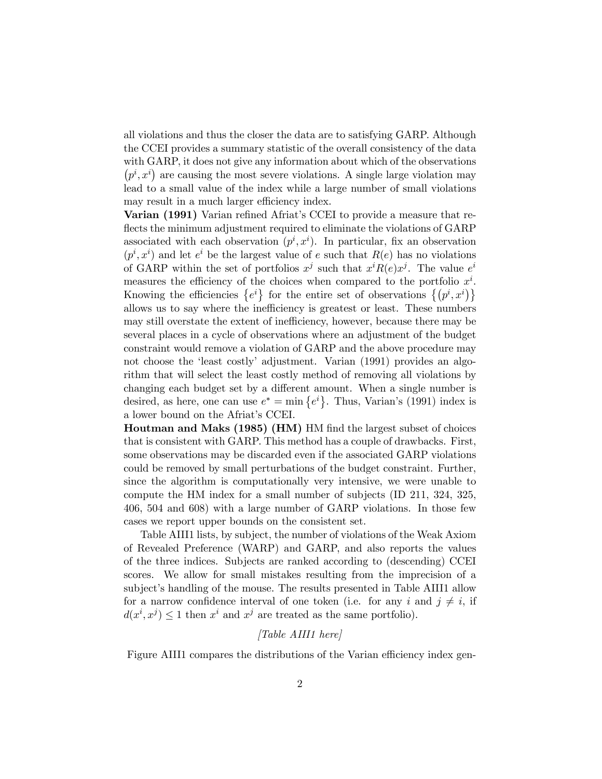all violations and thus the closer the data are to satisfying GARP. Although the CCEI provides a summary statistic of the overall consistency of the data with GARP, it does not give any information about which of the observations  $(p^i, x^i)$  are causing the most severe violations. A single large violation may lead to a small value of the index while a large number of small violations may result in a much larger efficiency index.

Varian (1991) Varian refined Afriat's CCEI to provide a measure that reflects the minimum adjustment required to eliminate the violations of GARP associated with each observation  $(p^i, x^i)$ . In particular, fix an observation  $(p^i, x^i)$  and let  $e^i$  be the largest value of e such that  $R(e)$  has no violations of GARP within the set of portfolios  $x^j$  such that  $x^i R(e) x^j$ . The value  $e^i$ measures the efficiency of the choices when compared to the portfolio  $x^i$ . Knowing the efficiencies  $\{e^i\}$  for the entire set of observations  $\{(p^i, x^i)\}\$ allows us to say where the inefficiency is greatest or least. These numbers may still overstate the extent of inefficiency, however, because there may be several places in a cycle of observations where an adjustment of the budget constraint would remove a violation of GARP and the above procedure may not choose the 'least costly' adjustment. Varian (1991) provides an algorithm that will select the least costly method of removing all violations by changing each budget set by a different amount. When a single number is desired, as here, one can use  $e^* = \min\{e^i\}$ . Thus, Varian's (1991) index is a lower bound on the Afriat's CCEI.

Houtman and Maks (1985) (HM) HM find the largest subset of choices that is consistent with GARP. This method has a couple of drawbacks. First, some observations may be discarded even if the associated GARP violations could be removed by small perturbations of the budget constraint. Further, since the algorithm is computationally very intensive, we were unable to compute the HM index for a small number of subjects (ID 211, 324, 325, 406, 504 and 608) with a large number of GARP violations. In those few cases we report upper bounds on the consistent set.

Table AIII1 lists, by subject, the number of violations of the Weak Axiom of Revealed Preference (WARP) and GARP, and also reports the values of the three indices. Subjects are ranked according to (descending) CCEI scores. We allow for small mistakes resulting from the imprecision of a subject's handling of the mouse. The results presented in Table AIII1 allow for a narrow confidence interval of one token (i.e. for any i and  $j \neq i$ , if  $d(x^i, x^j) \leq 1$  then  $x^i$  and  $x^j$  are treated as the same portfolio).

## [Table AIII1 here]

Figure AIII1 compares the distributions of the Varian efficiency index gen-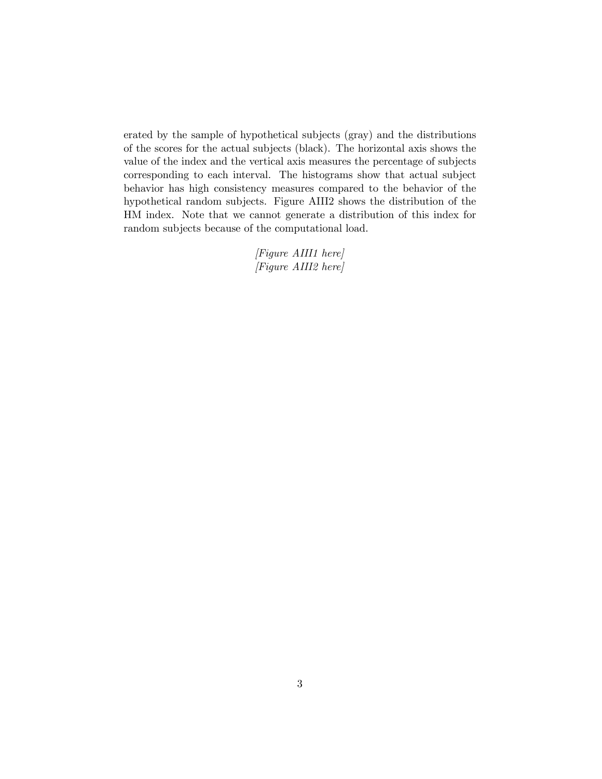erated by the sample of hypothetical subjects (gray) and the distributions of the scores for the actual subjects (black). The horizontal axis shows the value of the index and the vertical axis measures the percentage of subjects corresponding to each interval. The histograms show that actual subject behavior has high consistency measures compared to the behavior of the hypothetical random subjects. Figure AIII2 shows the distribution of the HM index. Note that we cannot generate a distribution of this index for random subjects because of the computational load.

> [Figure AIII1 here] [Figure AIII2 here]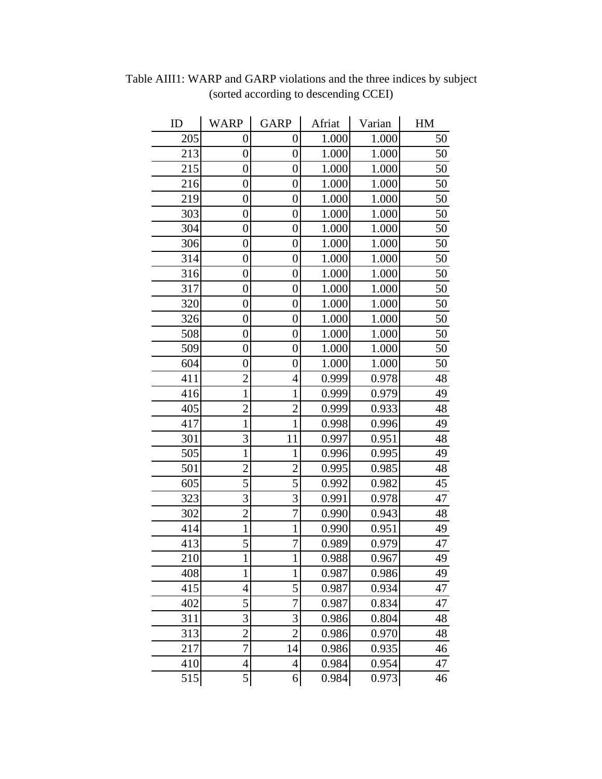| ID  | <b>WARP</b>      | <b>GARP</b>      | Afriat | Varian | HM |
|-----|------------------|------------------|--------|--------|----|
| 205 | 0                | 0                | 1.000  | 1.000  | 50 |
| 213 | $\overline{0}$   | $\overline{0}$   | 1.000  | 1.000  | 50 |
| 215 | $\overline{0}$   | $\overline{0}$   | 1.000  | 1.000  | 50 |
| 216 | $\boldsymbol{0}$ | $\boldsymbol{0}$ | 1.000  | 1.000  | 50 |
| 219 | $\overline{0}$   | $\overline{0}$   | 1.000  | 1.000  | 50 |
| 303 | $\boldsymbol{0}$ | $\overline{0}$   | 1.000  | 1.000  | 50 |
| 304 | $\boldsymbol{0}$ | $\boldsymbol{0}$ | 1.000  | 1.000  | 50 |
| 306 | $\boldsymbol{0}$ | $\boldsymbol{0}$ | 1.000  | 1.000  | 50 |
| 314 | $\overline{0}$   | $\overline{0}$   | 1.000  | 1.000  | 50 |
| 316 | $\boldsymbol{0}$ | $\boldsymbol{0}$ | 1.000  | 1.000  | 50 |
| 317 | $\boldsymbol{0}$ | $\boldsymbol{0}$ | 1.000  | 1.000  | 50 |
| 320 | $\overline{0}$   | $\overline{0}$   | 1.000  | 1.000  | 50 |
| 326 | $\overline{0}$   | $\overline{0}$   | 1.000  | 1.000  | 50 |
| 508 | $\overline{0}$   | $\overline{0}$   | 1.000  | 1.000  | 50 |
| 509 | $\boldsymbol{0}$ | $\overline{0}$   | 1.000  | 1.000  | 50 |
| 604 | $\overline{0}$   | $\overline{0}$   | 1.000  | 1.000  | 50 |
| 411 | $\overline{2}$   | $\overline{4}$   | 0.999  | 0.978  | 48 |
| 416 | $\mathbf{1}$     | 1                | 0.999  | 0.979  | 49 |
| 405 | $\overline{c}$   | $\overline{c}$   | 0.999  | 0.933  | 48 |
| 417 | $\mathbf{1}$     | 1                | 0.998  | 0.996  | 49 |
| 301 | 3                | 11               | 0.997  | 0.951  | 48 |
| 505 | $\mathbf{1}$     | 1                | 0.996  | 0.995  | 49 |
| 501 | $\overline{2}$   | $\overline{2}$   | 0.995  | 0.985  | 48 |
| 605 | 5                | 5                | 0.992  | 0.982  | 45 |
| 323 | 3                | $\overline{3}$   | 0.991  | 0.978  | 47 |
| 302 | $\overline{2}$   | 7                | 0.990  | 0.943  | 48 |
| 414 | $\mathbf 1$      | $\mathbf{1}$     | 0.990  | 0.951  | 49 |
| 413 | 5                | 7                | 0.989  | 0.979  | 47 |
| 210 | I                | I                | 0.988  | 0.967  | 49 |
| 408 | $\mathbf 1$      | $\mathbf{1}$     | 0.987  | 0.986  | 49 |
| 415 | 4                | 5                | 0.987  | 0.934  | 47 |
| 402 | 5                | 7                | 0.987  | 0.834  | 47 |
| 311 | 3                | 3                | 0.986  | 0.804  | 48 |
| 313 | $\overline{c}$   | $\overline{c}$   | 0.986  | 0.970  | 48 |
| 217 | 7                | 14               | 0.986  | 0.935  | 46 |
| 410 | 4                | $\overline{4}$   | 0.984  | 0.954  | 47 |
| 515 | 5                | 6                | 0.984  | 0.973  | 46 |

Table AIII1: WARP and GARP violations and the three indices by subject (sorted according to descending CCEI)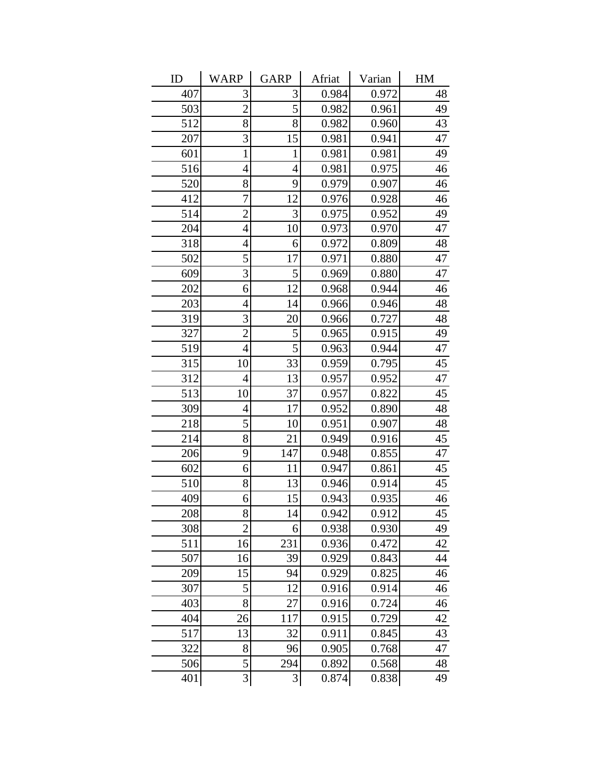| ID  | <b>WARP</b>    | <b>GARP</b>    | Afriat | Varian | HM |
|-----|----------------|----------------|--------|--------|----|
| 407 | 3              | 3              | 0.984  | 0.972  | 48 |
| 503 | $\overline{2}$ | 5              | 0.982  | 0.961  | 49 |
| 512 | 8              | 8              | 0.982  | 0.960  | 43 |
| 207 | 3              | 15             | 0.981  | 0.941  | 47 |
| 601 | $\mathbf{1}$   | 1              | 0.981  | 0.981  | 49 |
| 516 | $\overline{4}$ | $\overline{4}$ | 0.981  | 0.975  | 46 |
| 520 | 8              | 9              | 0.979  | 0.907  | 46 |
| 412 | 7              | 12             | 0.976  | 0.928  | 46 |
| 514 | $\overline{2}$ | 3              | 0.975  | 0.952  | 49 |
| 204 | $\overline{4}$ | 10             | 0.973  | 0.970  | 47 |
| 318 | $\overline{4}$ | 6              | 0.972  | 0.809  | 48 |
| 502 | 5              | 17             | 0.971  | 0.880  | 47 |
| 609 | 3              | 5              | 0.969  | 0.880  | 47 |
| 202 | 6              | 12             | 0.968  | 0.944  | 46 |
| 203 | $\overline{4}$ | 14             | 0.966  | 0.946  | 48 |
| 319 | 3              | 20             | 0.966  | 0.727  | 48 |
| 327 | $\overline{2}$ | 5              | 0.965  | 0.915  | 49 |
| 519 | $\overline{4}$ | 5              | 0.963  | 0.944  | 47 |
| 315 | 10             | 33             | 0.959  | 0.795  | 45 |
| 312 | $\overline{4}$ | 13             | 0.957  | 0.952  | 47 |
| 513 | 10             | 37             | 0.957  | 0.822  | 45 |
| 309 | 4              | 17             | 0.952  | 0.890  | 48 |
| 218 | 5              | 10             | 0.951  | 0.907  | 48 |
| 214 | 8              | 21             | 0.949  | 0.916  | 45 |
| 206 | 9              | 147            | 0.948  | 0.855  | 47 |
| 602 | 6              | 11             | 0.947  | 0.861  | 45 |
| 510 | 8              | 13             | 0.946  | 0.914  | 45 |
| 409 | 6              | 15             | 0.943  | 0.935  | 46 |
| 208 | 8              | 14             | 0.942  | 0.912  | 45 |
| 308 | $\overline{2}$ | 6              | 0.938  | 0.930  | 49 |
| 511 | 16             | 231            | 0.936  | 0.472  | 42 |
| 507 | 16             | 39             | 0.929  | 0.843  | 44 |
| 209 | 15             | 94             | 0.929  | 0.825  | 46 |
| 307 | 5              | 12             | 0.916  | 0.914  | 46 |
| 403 | 8              | 27             | 0.916  | 0.724  | 46 |
| 404 | 26             | 117            | 0.915  | 0.729  | 42 |
| 517 | 13             | 32             | 0.911  | 0.845  | 43 |
| 322 | 8              | 96             | 0.905  | 0.768  | 47 |
| 506 | 5              | 294            | 0.892  | 0.568  | 48 |
| 401 | $\overline{3}$ | 3              | 0.874  | 0.838  | 49 |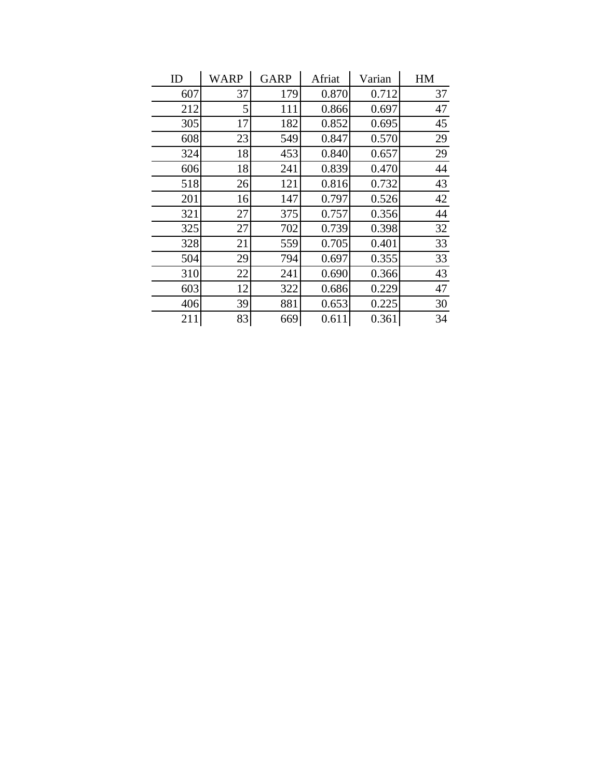| ID  | WARP | <b>GARP</b> | Afriat | Varian | HM |
|-----|------|-------------|--------|--------|----|
| 607 | 37   | 179         | 0.870  | 0.712  | 37 |
| 212 | 5    | 111         | 0.866  | 0.697  | 47 |
| 305 | 17   | 182         | 0.852  | 0.695  | 45 |
| 608 | 23   | 549         | 0.847  | 0.570  | 29 |
| 324 | 18   | 453         | 0.840  | 0.657  | 29 |
| 606 | 18   | 241         | 0.839  | 0.470  | 44 |
| 518 | 26   | 121         | 0.816  | 0.732  | 43 |
| 201 | 16   | 147         | 0.797  | 0.526  | 42 |
| 321 | 27   | 375         | 0.757  | 0.356  | 44 |
| 325 | 27   | 702         | 0.739  | 0.398  | 32 |
| 328 | 21   | 559         | 0.705  | 0.401  | 33 |
| 504 | 29   | 794         | 0.697  | 0.355  | 33 |
| 310 | 22   | 241         | 0.690  | 0.366  | 43 |
| 603 | 12   | 322         | 0.686  | 0.229  | 47 |
| 406 | 39   | 881         | 0.653  | 0.225  | 30 |
| 211 | 83   | 669         | 0.611  | 0.361  | 34 |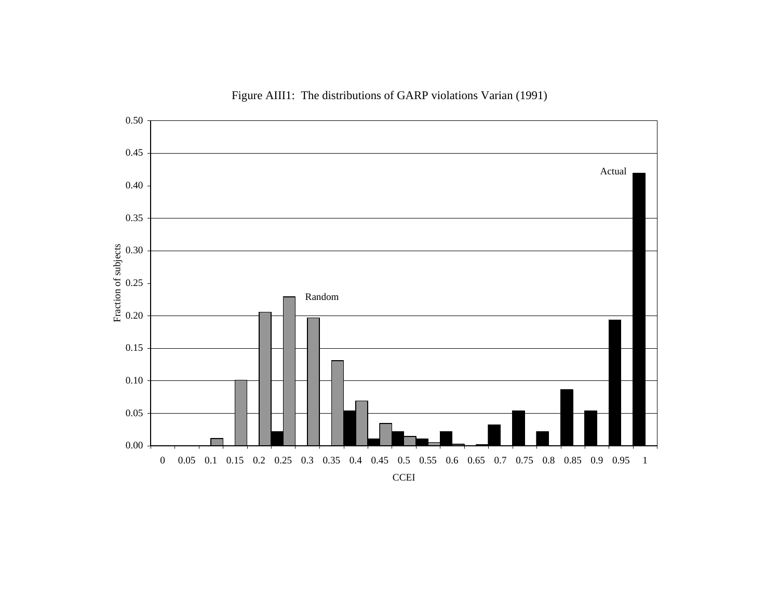

Figure AIII1: The distributions of GARP violations Varian (1991)